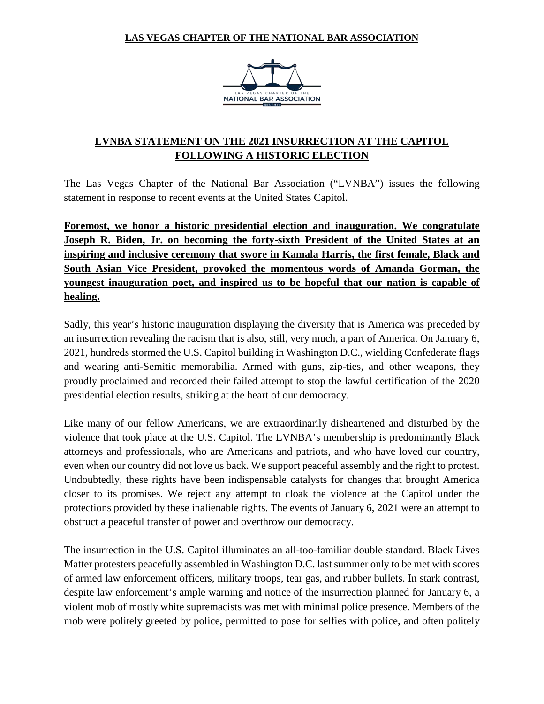## **LAS VEGAS CHAPTER OF THE NATIONAL BAR ASSOCIATION**



## **LVNBA STATEMENT ON THE 2021 INSURRECTION AT THE CAPITOL FOLLOWING A HISTORIC ELECTION**

The Las Vegas Chapter of the National Bar Association ("LVNBA") issues the following statement in response to recent events at the United States Capitol.

**Foremost, we honor a historic presidential election and inauguration. We congratulate Joseph R. Biden, Jr. on becoming the forty-sixth President of the United States at an inspiring and inclusive ceremony that swore in Kamala Harris, the first female, Black and South Asian Vice President, provoked the momentous words of Amanda Gorman, the youngest inauguration poet, and inspired us to be hopeful that our nation is capable of healing.**

Sadly, this year's historic inauguration displaying the diversity that is America was preceded by an insurrection revealing the racism that is also, still, very much, a part of America. On January 6, 2021, hundreds stormed the U.S. Capitol building in Washington D.C., wielding Confederate flags and wearing anti-Semitic memorabilia. Armed with guns, zip-ties, and other weapons, they proudly proclaimed and recorded their failed attempt to stop the lawful certification of the 2020 presidential election results, striking at the heart of our democracy.

Like many of our fellow Americans, we are extraordinarily disheartened and disturbed by the violence that took place at the U.S. Capitol. The LVNBA's membership is predominantly Black attorneys and professionals, who are Americans and patriots, and who have loved our country, even when our country did not love us back. We support peaceful assembly and the right to protest. Undoubtedly, these rights have been indispensable catalysts for changes that brought America closer to its promises. We reject any attempt to cloak the violence at the Capitol under the protections provided by these inalienable rights. The events of January 6, 2021 were an attempt to obstruct a peaceful transfer of power and overthrow our democracy.

The insurrection in the U.S. Capitol illuminates an all-too-familiar double standard. Black Lives Matter protesters peacefully assembled in Washington D.C. last summer only to be met with scores of armed law enforcement officers, military troops, tear gas, and rubber bullets. In stark contrast, despite law enforcement's ample warning and notice of the insurrection planned for January 6, a violent mob of mostly white supremacists was met with minimal police presence. Members of the mob were politely greeted by police, permitted to pose for selfies with police, and often politely